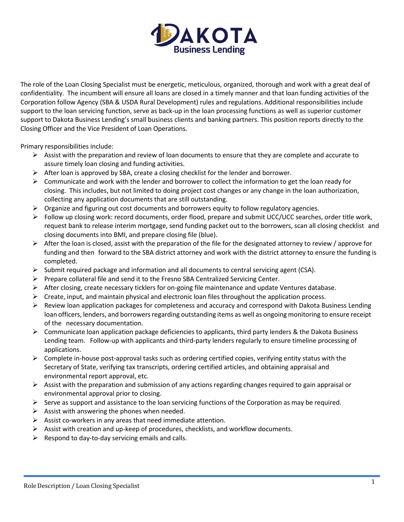

The role of the Loan Closing Specialist must be energetic, meticulous, organized, thorough and work with a great deal of confidentiality. The incumbent will ensure all loans are closed in a timely manner and that loan funding activities of the Corporation follow Agency (SBA & USDA Rural Development) rules and regulations. Additional responsibilities include support to the loan servicing function, serve as back-up in the loan processing functions as well as superior customer support to Dakota Business Lending's small business clients and banking partners. This position reports directly to the Closing Officer and the Vice President of Loan Operations.

Primary responsibilities include:

- $\triangleright$  Assist with the preparation and review of loan documents to ensure that they are complete and accurate to assure timely loan closing and funding activities.
- $\triangleright$  After loan is approved by SBA, create a closing checklist for the lender and borrower.
- $\triangleright$  Communicate and work with the lender and borrower to collect the information to get the loan ready for closing. This includes, but not limited to doing project cost changes or any change in the loan authorization, collecting any application documents that are still outstanding.
- $\triangleright$  Organize and figuring out cost documents and borrowers equity to follow regulatory agencies.
- $\triangleright$  Follow up closing work: record documents, order flood, prepare and submit UCC/UCC searches, order title work, request bank to release interim mortgage, send funding packet out to the borrowers, scan all closing checklist and closing documents into BMI, and prepare closing file (blue).
- $\triangleright$  After the loan is closed, assist with the preparation of the file for the designated attorney to review / approve for funding and then forward to the SBA district attorney and work with the district attorney to ensure the funding is completed.
- $\triangleright$  Submit required package and information and all documents to central servicing agent (CSA).
- Prepare collateral file and send it to the Fresno SBA Centralized Servicing Center.
- $\triangleright$  After closing, create necessary ticklers for on-going file maintenance and update Ventures database.
- $\triangleright$  Create, input, and maintain physical and electronic loan files throughout the application process.
- $\triangleright$  Review loan application packages for completeness and accuracy and correspond with Dakota Business Lending loan officers, lenders, and borrowers regarding outstanding items as well as ongoing monitoring to ensure receipt of the necessary documentation.
- $\triangleright$  Communicate loan application package deficiencies to applicants, third party lenders & the Dakota Business Lending team. Follow-up with applicants and third-party lenders regularly to ensure timeline processing of applications.
- $\triangleright$  Complete in-house post-approval tasks such as ordering certified copies, verifying entity status with the Secretary of State, verifying tax transcripts, ordering certified articles, and obtaining appraisal and environmental report approval, etc.
- $\triangleright$  Assist with the preparation and submission of any actions regarding changes required to gain appraisal or environmental approval prior to closing.
- $\triangleright$  Serve as support and assistance to the loan servicing functions of the Corporation as may be required.
- $\triangleright$  Assist with answering the phones when needed.
- $\triangleright$  Assist co-workers in any areas that need immediate attention.
- $\triangleright$  Assist with creation and up-keep of procedures, checklists, and workflow documents.
- $\triangleright$  Respond to day-to-day servicing emails and calls.